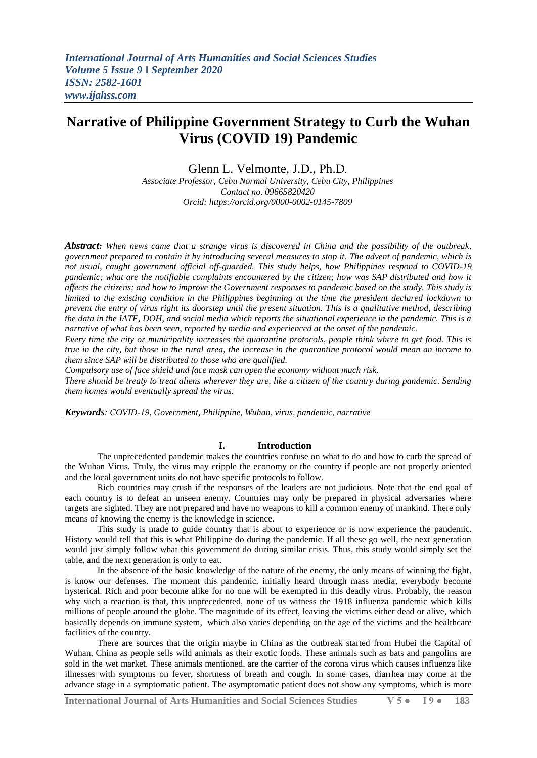# **Narrative of Philippine Government Strategy to Curb the Wuhan Virus (COVID 19) Pandemic**

Glenn L. Velmonte, J.D., Ph.D.

*Associate Professor, Cebu Normal University, Cebu City, Philippines Contact no. 09665820420 Orcid: https://orcid.org/0000-0002-0145-7809*

*Abstract: When news came that a strange virus is discovered in China and the possibility of the outbreak, government prepared to contain it by introducing several measures to stop it. The advent of pandemic, which is not usual, caught government official off-guarded. This study helps, how Philippines respond to COVID-19 pandemic; what are the notifiable complaints encountered by the citizen; how was SAP distributed and how it affects the citizens; and how to improve the Government responses to pandemic based on the study. This study is limited to the existing condition in the Philippines beginning at the time the president declared lockdown to prevent the entry of virus right its doorstep until the present situation. This is a qualitative method, describing the data in the IATF, DOH, and social media which reports the situational experience in the pandemic. This is a narrative of what has been seen, reported by media and experienced at the onset of the pandemic.*

*Every time the city or municipality increases the quarantine protocols, people think where to get food. This is true in the city, but those in the rural area, the increase in the quarantine protocol would mean an income to them since SAP will be distributed to those who are qualified.*

*Compulsory use of face shield and face mask can open the economy without much risk.*

*There should be treaty to treat aliens wherever they are, like a citizen of the country during pandemic. Sending them homes would eventually spread the virus.*

*Keywords: COVID-19, Government, Philippine, Wuhan, virus, pandemic, narrative*

# **I. Introduction**

The unprecedented pandemic makes the countries confuse on what to do and how to curb the spread of the Wuhan Virus. Truly, the virus may cripple the economy or the country if people are not properly oriented and the local government units do not have specific protocols to follow.

Rich countries may crush if the responses of the leaders are not judicious. Note that the end goal of each country is to defeat an unseen enemy. Countries may only be prepared in physical adversaries where targets are sighted. They are not prepared and have no weapons to kill a common enemy of mankind. There only means of knowing the enemy is the knowledge in science.

This study is made to guide country that is about to experience or is now experience the pandemic. History would tell that this is what Philippine do during the pandemic. If all these go well, the next generation would just simply follow what this government do during similar crisis. Thus, this study would simply set the table, and the next generation is only to eat.

In the absence of the basic knowledge of the nature of the enemy, the only means of winning the fight, is know our defenses. The moment this pandemic, initially heard through mass media, everybody become hysterical. Rich and poor become alike for no one will be exempted in this deadly virus. Probably, the reason why such a reaction is that, this unprecedented, none of us witness the 1918 influenza pandemic which kills millions of people around the globe. The magnitude of its effect, leaving the victims either dead or alive, which basically depends on immune system, which also varies depending on the age of the victims and the healthcare facilities of the country.

There are sources that the origin maybe in China as the outbreak started from Hubei the Capital of Wuhan, China as people sells wild animals as their exotic foods. These animals such as bats and pangolins are sold in the wet market. These animals mentioned, are the carrier of the corona virus which causes influenza like illnesses with symptoms on fever, shortness of breath and cough. In some cases, diarrhea may come at the advance stage in a symptomatic patient. The asymptomatic patient does not show any symptoms, which is more

**International Journal of Arts Humanities and Social Sciences Studies V 5 ● I 9 ● 183**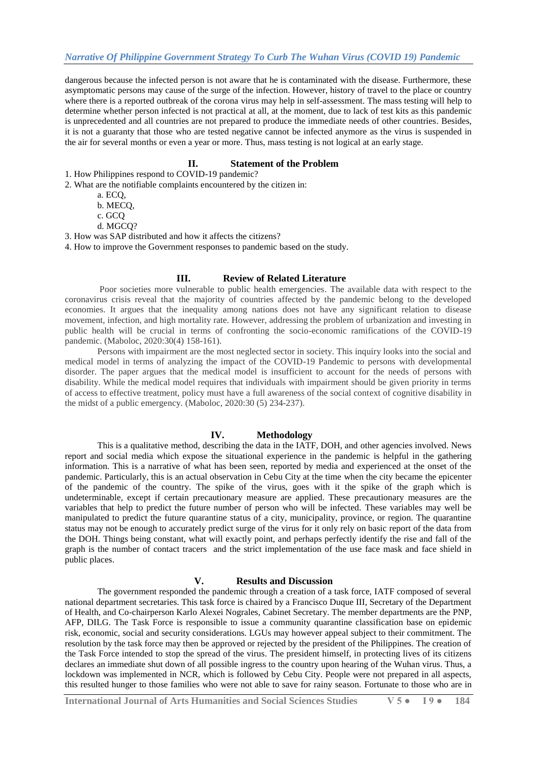dangerous because the infected person is not aware that he is contaminated with the disease. Furthermore, these asymptomatic persons may cause of the surge of the infection. However, history of travel to the place or country where there is a reported outbreak of the corona virus may help in self-assessment. The mass testing will help to determine whether person infected is not practical at all, at the moment, due to lack of test kits as this pandemic is unprecedented and all countries are not prepared to produce the immediate needs of other countries. Besides, it is not a guaranty that those who are tested negative cannot be infected anymore as the virus is suspended in the air for several months or even a year or more. Thus, mass testing is not logical at an early stage.

### **II. Statement of the Problem**

1. How Philippines respond to COVID-19 pandemic?

- 2. What are the notifiable complaints encountered by the citizen in:
	- a. ECQ,
	- b. MECQ,
	- c. GCQ
	- d. MGCQ?

3. How was SAP distributed and how it affects the citizens?

4. How to improve the Government responses to pandemic based on the study.

# **III. Review of Related Literature**

Poor societies more vulnerable to public health emergencies. The available data with respect to the coronavirus crisis reveal that the majority of countries affected by the pandemic belong to the developed economies. It argues that the inequality among nations does not have any significant relation to disease movement, infection, and high mortality rate. However, addressing the problem of urbanization and investing in public health will be crucial in terms of confronting the socio-economic ramifications of the COVID-19 pandemic. (Maboloc, 2020:30(4) 158-161).

Persons with impairment are the most neglected sector in society. This inquiry looks into the social and medical model in terms of analyzing the impact of the COVID-19 Pandemic to persons with developmental disorder. The paper argues that the medical model is insufficient to account for the needs of persons with disability. While the medical model requires that individuals with impairment should be given priority in terms of access to effective treatment, policy must have a full awareness of the social context of cognitive disability in the midst of a public emergency. (Maboloc, 2020:30 (5) 234-237).

# **IV. Methodology**

This is a qualitative method, describing the data in the IATF, DOH, and other agencies involved. News report and social media which expose the situational experience in the pandemic is helpful in the gathering information. This is a narrative of what has been seen, reported by media and experienced at the onset of the pandemic. Particularly, this is an actual observation in Cebu City at the time when the city became the epicenter of the pandemic of the country. The spike of the virus, goes with it the spike of the graph which is undeterminable, except if certain precautionary measure are applied. These precautionary measures are the variables that help to predict the future number of person who will be infected. These variables may well be manipulated to predict the future quarantine status of a city, municipality, province, or region. The quarantine status may not be enough to accurately predict surge of the virus for it only rely on basic report of the data from the DOH. Things being constant, what will exactly point, and perhaps perfectly identify the rise and fall of the graph is the number of contact tracers and the strict implementation of the use face mask and face shield in public places.

#### **V. Results and Discussion**

The government responded the pandemic through a creation of a task force, IATF composed of several national department secretaries. This task force is chaired by a Francisco Duque III, Secretary of the Department of Health, and Co-chairperson Karlo Alexei Nograles, Cabinet Secretary. The member departments are the PNP, AFP, DILG. The Task Force is responsible to issue a community quarantine classification base on epidemic risk, economic, social and security considerations. LGUs may however appeal subject to their commitment. The resolution by the task force may then be approved or rejected by the president of the Philippines. The creation of the Task Force intended to stop the spread of the virus. The president himself, in protecting lives of its citizens declares an immediate shut down of all possible ingress to the country upon hearing of the Wuhan virus. Thus, a lockdown was implemented in NCR, which is followed by Cebu City. People were not prepared in all aspects, this resulted hunger to those families who were not able to save for rainy season. Fortunate to those who are in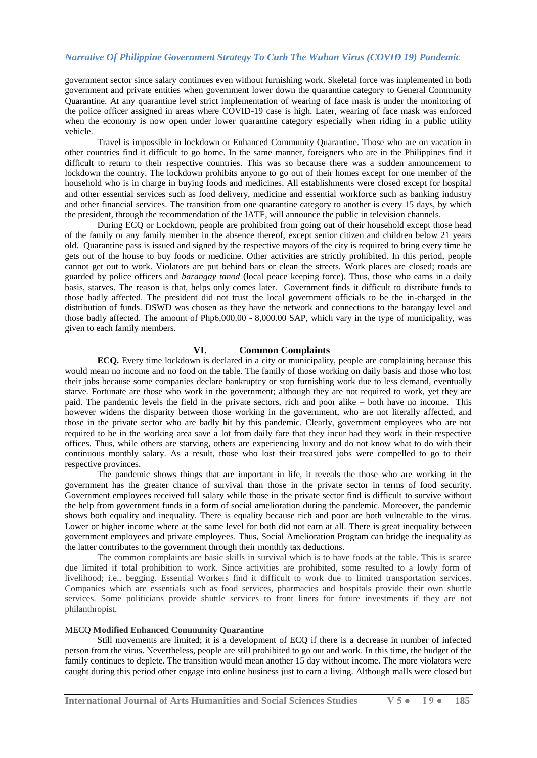government sector since salary continues even without furnishing work. Skeletal force was implemented in both government and private entities when government lower down the quarantine category to General Community Quarantine. At any quarantine level strict implementation of wearing of face mask is under the monitoring of the police officer assigned in areas where COVID-19 case is high. Later, wearing of face mask was enforced when the economy is now open under lower quarantine category especially when riding in a public utility vehicle.

Travel is impossible in lockdown or Enhanced Community Quarantine. Those who are on vacation in other countries find it difficult to go home. In the same manner, foreigners who are in the Philippines find it difficult to return to their respective countries. This was so because there was a sudden announcement to lockdown the country. The lockdown prohibits anyone to go out of their homes except for one member of the household who is in charge in buying foods and medicines. All establishments were closed except for hospital and other essential services such as food delivery, medicine and essential workforce such as banking industry and other financial services. The transition from one quarantine category to another is every 15 days, by which the president, through the recommendation of the IATF, will announce the public in television channels.

During ECQ or Lockdown, people are prohibited from going out of their household except those head of the family or any family member in the absence thereof, except senior citizen and children below 21 years old. Quarantine pass is issued and signed by the respective mayors of the city is required to bring every time he gets out of the house to buy foods or medicine. Other activities are strictly prohibited. In this period, people cannot get out to work. Violators are put behind bars or clean the streets. Work places are closed; roads are guarded by police officers and *barangay tanod* (local peace keeping force)*.* Thus, those who earns in a daily basis, starves. The reason is that, helps only comes later. Government finds it difficult to distribute funds to those badly affected. The president did not trust the local government officials to be the in-charged in the distribution of funds. DSWD was chosen as they have the network and connections to the barangay level and those badly affected. The amount of Php6,000.00 - 8,000.00 SAP, which vary in the type of municipality, was given to each family members.

# **VI. Common Complaints**

**ECQ.** Every time lockdown is declared in a city or municipality, people are complaining because this would mean no income and no food on the table. The family of those working on daily basis and those who lost their jobs because some companies declare bankruptcy or stop furnishing work due to less demand, eventually starve. Fortunate are those who work in the government; although they are not required to work, yet they are paid. The pandemic levels the field in the private sectors, rich and poor alike – both have no income. This however widens the disparity between those working in the government, who are not literally affected, and those in the private sector who are badly hit by this pandemic. Clearly, government employees who are not required to be in the working area save a lot from daily fare that they incur had they work in their respective offices. Thus, while others are starving, others are experiencing luxury and do not know what to do with their continuous monthly salary. As a result, those who lost their treasured jobs were compelled to go to their respective provinces.

The pandemic shows things that are important in life, it reveals the those who are working in the government has the greater chance of survival than those in the private sector in terms of food security. Government employees received full salary while those in the private sector find is difficult to survive without the help from government funds in a form of social amelioration during the pandemic. Moreover, the pandemic shows both equality and inequality. There is equality because rich and poor are both vulnerable to the virus. Lower or higher income where at the same level for both did not earn at all. There is great inequality between government employees and private employees. Thus, Social Amelioration Program can bridge the inequality as the latter contributes to the government through their monthly tax deductions.

The common complaints are basic skills in survival which is to have foods at the table. This is scarce due limited if total prohibition to work. Since activities are prohibited, some resulted to a lowly form of livelihood; i.e., begging. Essential Workers find it difficult to work due to limited transportation services. Companies which are essentials such as food services, pharmacies and hospitals provide their own shuttle services. Some politicians provide shuttle services to front liners for future investments if they are not philanthropist.

#### MECQ **Modified Enhanced Community Quarantine**

Still movements are limited; it is a development of ECQ if there is a decrease in number of infected person from the virus. Nevertheless, people are still prohibited to go out and work. In this time, the budget of the family continues to deplete. The transition would mean another 15 day without income. The more violators were caught during this period other engage into online business just to earn a living. Although malls were closed but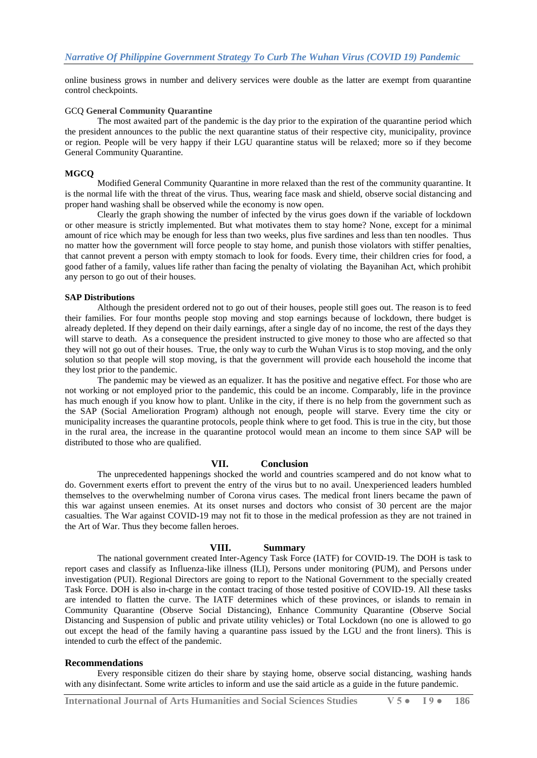online business grows in number and delivery services were double as the latter are exempt from quarantine control checkpoints.

#### GCQ **General Community Quarantine**

The most awaited part of the pandemic is the day prior to the expiration of the quarantine period which the president announces to the public the next quarantine status of their respective city, municipality, province or region. People will be very happy if their LGU quarantine status will be relaxed; more so if they become General Community Quarantine.

#### **MGCQ**

Modified General Community Quarantine in more relaxed than the rest of the community quarantine. It is the normal life with the threat of the virus. Thus, wearing face mask and shield, observe social distancing and proper hand washing shall be observed while the economy is now open.

Clearly the graph showing the number of infected by the virus goes down if the variable of lockdown or other measure is strictly implemented. But what motivates them to stay home? None, except for a minimal amount of rice which may be enough for less than two weeks, plus five sardines and less than ten noodles. Thus no matter how the government will force people to stay home, and punish those violators with stiffer penalties, that cannot prevent a person with empty stomach to look for foods. Every time, their children cries for food, a good father of a family, values life rather than facing the penalty of violating the Bayanihan Act, which prohibit any person to go out of their houses.

#### **SAP Distributions**

Although the president ordered not to go out of their houses, people still goes out. The reason is to feed their families. For four months people stop moving and stop earnings because of lockdown, there budget is already depleted. If they depend on their daily earnings, after a single day of no income, the rest of the days they will starve to death. As a consequence the president instructed to give money to those who are affected so that they will not go out of their houses. True, the only way to curb the Wuhan Virus is to stop moving, and the only solution so that people will stop moving, is that the government will provide each household the income that they lost prior to the pandemic.

The pandemic may be viewed as an equalizer. It has the positive and negative effect. For those who are not working or not employed prior to the pandemic, this could be an income. Comparably, life in the province has much enough if you know how to plant. Unlike in the city, if there is no help from the government such as the SAP (Social Amelioration Program) although not enough, people will starve. Every time the city or municipality increases the quarantine protocols, people think where to get food. This is true in the city, but those in the rural area, the increase in the quarantine protocol would mean an income to them since SAP will be distributed to those who are qualified.

#### **VII. Conclusion**

The unprecedented happenings shocked the world and countries scampered and do not know what to do. Government exerts effort to prevent the entry of the virus but to no avail. Unexperienced leaders humbled themselves to the overwhelming number of Corona virus cases. The medical front liners became the pawn of this war against unseen enemies. At its onset nurses and doctors who consist of 30 percent are the major casualties. The War against COVID-19 may not fit to those in the medical profession as they are not trained in the Art of War. Thus they become fallen heroes.

#### **VIII. Summary**

The national government created Inter-Agency Task Force (IATF) for COVID-19. The DOH is task to report cases and classify as Influenza-like illness (ILI), Persons under monitoring (PUM), and Persons under investigation (PUI). Regional Directors are going to report to the National Government to the specially created Task Force. DOH is also in-charge in the contact tracing of those tested positive of COVID-19. All these tasks are intended to flatten the curve. The IATF determines which of these provinces, or islands to remain in Community Quarantine (Observe Social Distancing), Enhance Community Quarantine (Observe Social Distancing and Suspension of public and private utility vehicles) or Total Lockdown (no one is allowed to go out except the head of the family having a quarantine pass issued by the LGU and the front liners). This is intended to curb the effect of the pandemic.

#### **Recommendations**

Every responsible citizen do their share by staying home, observe social distancing, washing hands with any disinfectant. Some write articles to inform and use the said article as a guide in the future pandemic.

**International Journal of Arts Humanities and Social Sciences Studies V 5 ● I 9 ● 186**